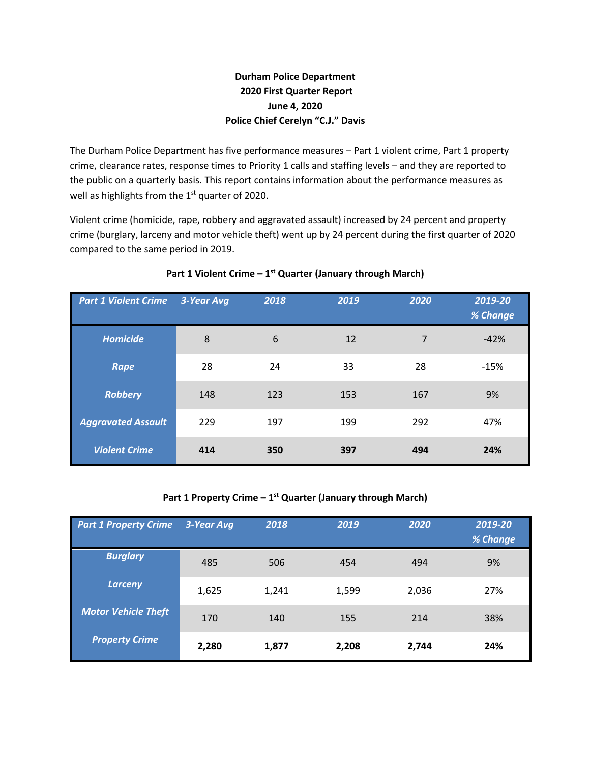# **Durham Police Department 2020 First Quarter Report June 4, 2020 Police Chief Cerelyn "C.J." Davis**

The Durham Police Department has five performance measures – Part 1 violent crime, Part 1 property crime, clearance rates, response times to Priority 1 calls and staffing levels – and they are reported to the public on a quarterly basis. This report contains information about the performance measures as well as highlights from the  $1<sup>st</sup>$  quarter of 2020.

Violent crime (homicide, rape, robbery and aggravated assault) increased by 24 percent and property crime (burglary, larceny and motor vehicle theft) went up by 24 percent during the first quarter of 2020 compared to the same period in 2019.

| <b>Part 1 Violent Crime</b> | 3-Year Avg | 2018 | 2019 | 2020 | 2019-20<br>% Change |
|-----------------------------|------------|------|------|------|---------------------|
| <b>Homicide</b>             | 8          | 6    | 12   | 7    | $-42%$              |
| Rape                        | 28         | 24   | 33   | 28   | $-15%$              |
| <b>Robbery</b>              | 148        | 123  | 153  | 167  | 9%                  |
| <b>Aggravated Assault</b>   | 229        | 197  | 199  | 292  | 47%                 |
| <b>Violent Crime</b>        | 414        | 350  | 397  | 494  | 24%                 |

# **Part 1 Violent Crime – 1st Quarter (January through March)**

# **Part 1 Property Crime – 1st Quarter (January through March)**

| <b>Part 1 Property Crime</b> | 3-Year Avg | 2018  | 2019  | 2020  | 2019-20<br>% Change |
|------------------------------|------------|-------|-------|-------|---------------------|
| <b>Burglary</b>              | 485        | 506   | 454   | 494   | 9%                  |
| <b>Larceny</b>               | 1,625      | 1,241 | 1,599 | 2,036 | 27%                 |
| <b>Motor Vehicle Theft</b>   | 170        | 140   | 155   | 214   | 38%                 |
| <b>Property Crime</b>        | 2,280      | 1,877 | 2,208 | 2,744 | 24%                 |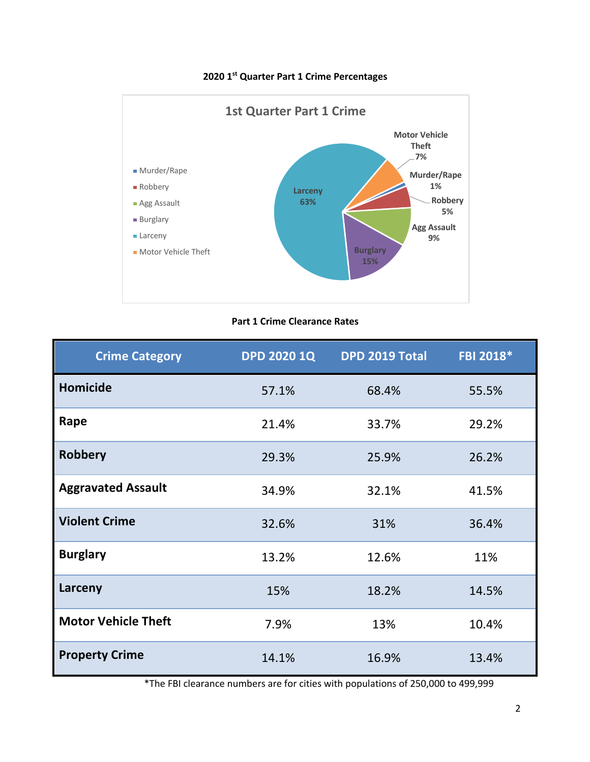

# **2020 1st Quarter Part 1 Crime Percentages**

# **Part 1 Crime Clearance Rates**

| <b>Crime Category</b>      | <b>DPD 2020 1Q</b> | <b>DPD 2019 Total</b> | FBI 2018* |
|----------------------------|--------------------|-----------------------|-----------|
| <b>Homicide</b>            | 57.1%              | 68.4%                 | 55.5%     |
| Rape                       | 21.4%              | 33.7%                 | 29.2%     |
| <b>Robbery</b>             | 29.3%              | 25.9%                 | 26.2%     |
| <b>Aggravated Assault</b>  | 34.9%              | 32.1%                 | 41.5%     |
| <b>Violent Crime</b>       | 32.6%              | 31%                   | 36.4%     |
| <b>Burglary</b>            | 13.2%              | 12.6%                 | 11%       |
| Larceny                    | 15%                | 18.2%                 | 14.5%     |
| <b>Motor Vehicle Theft</b> | 7.9%               | 13%                   | 10.4%     |
| <b>Property Crime</b>      | 14.1%              | 16.9%                 | 13.4%     |

\*The FBI clearance numbers are for cities with populations of 250,000 to 499,999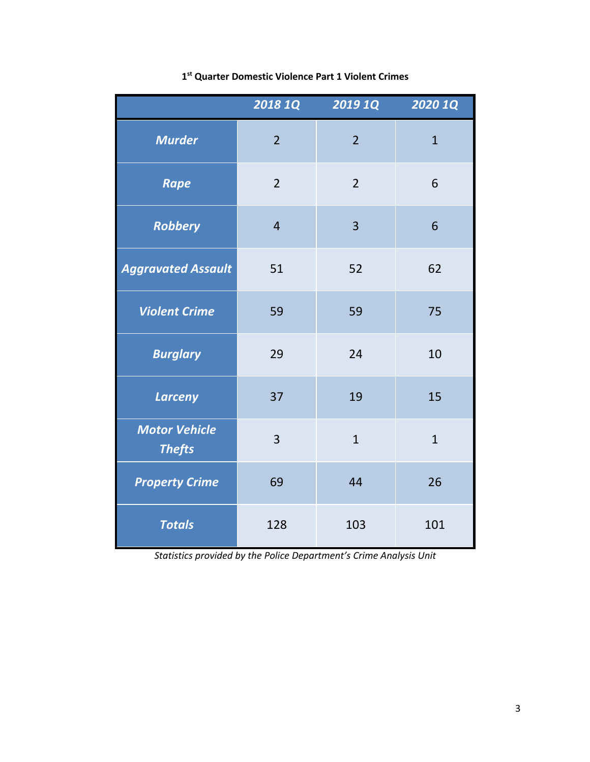|                                       | <b>2018 1Q</b> | <b>2019 1Q</b> | 2020 1Q      |
|---------------------------------------|----------------|----------------|--------------|
| <b>Murder</b>                         | $\overline{2}$ | $\overline{2}$ | $\mathbf{1}$ |
| <b>Rape</b>                           | $\overline{2}$ | $\overline{2}$ | 6            |
| <b>Robbery</b>                        | $\overline{4}$ | $\overline{3}$ | 6            |
| <b>Aggravated Assault</b>             | 51             | 52             | 62           |
| <b>Violent Crime</b>                  | 59             | 59             | 75           |
| <b>Burglary</b>                       | 29             | 24             | 10           |
| <b>Larceny</b>                        | 37             | 19             | 15           |
| <b>Motor Vehicle</b><br><b>Thefts</b> | $\overline{3}$ | $\overline{1}$ | $\mathbf{1}$ |
| <b>Property Crime</b>                 | 69             | 44             | 26           |
| <b>Totals</b>                         | 128            | 103            | 101          |

# **1st Quarter Domestic Violence Part 1 Violent Crimes**

*Statistics provided by the Police Department's Crime Analysis Unit*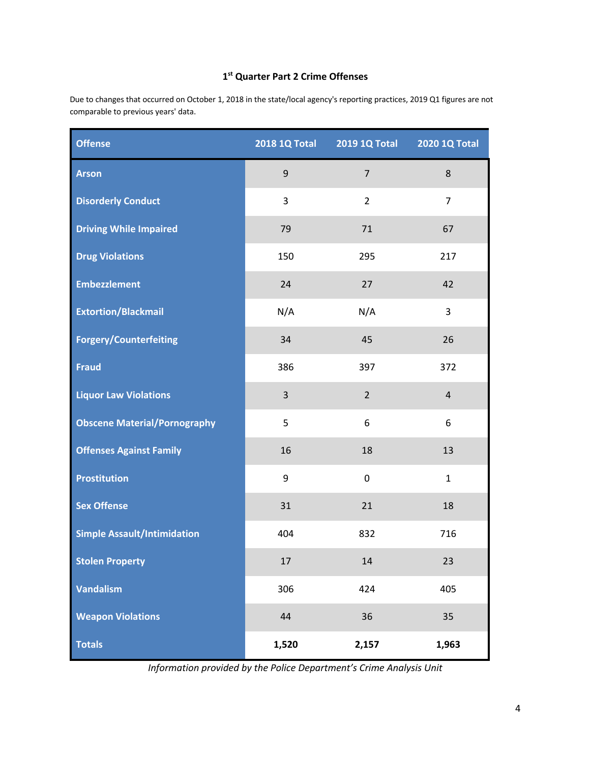# **1st Quarter Part 2 Crime Offenses**

Due to changes that occurred on October 1, 2018 in the state/local agency's reporting practices, 2019 Q1 figures are not comparable to previous years' data.

| <b>Offense</b>                      | <b>2018 1Q Total</b> | 2019 1Q Total  | 2020 1Q Total  |
|-------------------------------------|----------------------|----------------|----------------|
| <b>Arson</b>                        | $\mathsf g$          | $\overline{7}$ | 8              |
| <b>Disorderly Conduct</b>           | 3                    | $\overline{2}$ | $\overline{7}$ |
| <b>Driving While Impaired</b>       | 79                   | 71             | 67             |
| <b>Drug Violations</b>              | 150                  | 295            | 217            |
| <b>Embezzlement</b>                 | 24                   | 27             | 42             |
| <b>Extortion/Blackmail</b>          | N/A                  | N/A            | 3              |
| <b>Forgery/Counterfeiting</b>       | 34                   | 45             | 26             |
| <b>Fraud</b>                        | 386                  | 397            | 372            |
| <b>Liquor Law Violations</b>        | 3                    | $\overline{2}$ | $\overline{4}$ |
| <b>Obscene Material/Pornography</b> | 5                    | 6              | 6              |
| <b>Offenses Against Family</b>      | 16                   | 18             | 13             |
| <b>Prostitution</b>                 | 9                    | 0              | $\mathbf{1}$   |
| <b>Sex Offense</b>                  | 31                   | 21             | 18             |
| <b>Simple Assault/Intimidation</b>  | 404                  | 832            | 716            |
| <b>Stolen Property</b>              | $17\,$               | $14\,$         | 23             |
| <b>Vandalism</b>                    | 306                  | 424            | 405            |
| <b>Weapon Violations</b>            | 44                   | 36             | 35             |
| <b>Totals</b>                       | 1,520                | 2,157          | 1,963          |

*Information provided by the Police Department's Crime Analysis Unit*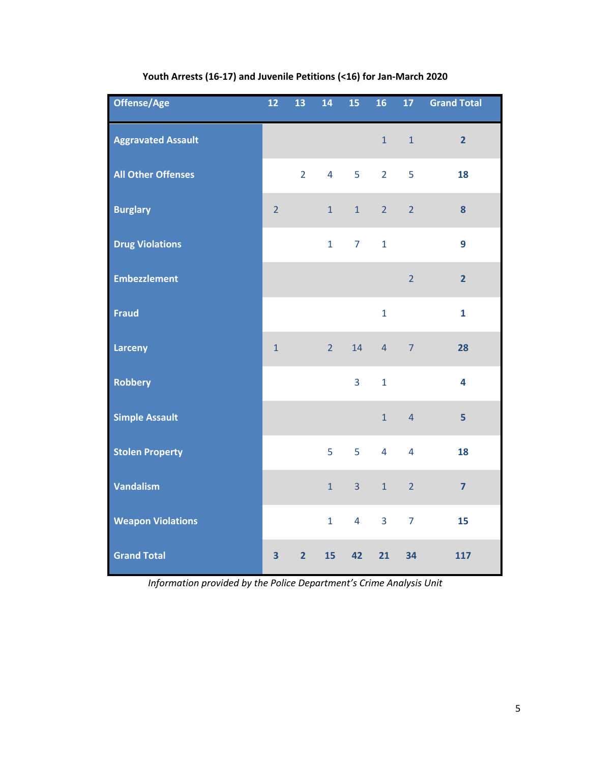| Offense/Age               | $12$           | 13             | 14             | 15             | 16             | 17 <sup>2</sup> | <b>Grand Total</b>      |
|---------------------------|----------------|----------------|----------------|----------------|----------------|-----------------|-------------------------|
| <b>Aggravated Assault</b> |                |                |                |                | $\mathbf{1}$   | $\mathbf 1$     | $\overline{\mathbf{2}}$ |
| <b>All Other Offenses</b> |                | $\overline{2}$ | $\overline{4}$ | 5              | $\overline{2}$ | 5               | 18                      |
| <b>Burglary</b>           | $\overline{2}$ |                | $\mathbf{1}$   | $\mathbf 1$    | $\overline{2}$ | $\overline{2}$  | 8                       |
| <b>Drug Violations</b>    |                |                | $\mathbf{1}$   | $\overline{7}$ | $\mathbf{1}$   |                 | 9                       |
| <b>Embezzlement</b>       |                |                |                |                |                | $\overline{2}$  | $\overline{2}$          |
| <b>Fraud</b>              |                |                |                |                | $\mathbf{1}$   |                 | $\mathbf{1}$            |
| <b>Larceny</b>            | $\mathbf 1$    |                | $\overline{2}$ | 14             | $\overline{4}$ | $\overline{7}$  | 28                      |
| <b>Robbery</b>            |                |                |                | 3              | $\mathbf 1$    |                 | 4                       |
| <b>Simple Assault</b>     |                |                |                |                | $\mathbf{1}$   | $\overline{4}$  | 5                       |
| <b>Stolen Property</b>    |                |                | 5              | 5              | $\overline{4}$ | $\overline{4}$  | 18                      |
| <b>Vandalism</b>          |                |                | $\mathbf{1}$   | 3              | $\mathbf{1}$   | $\overline{2}$  | $\overline{7}$          |
| <b>Weapon Violations</b>  |                |                | $\mathbf{1}$   | $\overline{4}$ | $\overline{3}$ | $\overline{7}$  | 15                      |
| <b>Grand Total</b>        | 3              | $\overline{2}$ | 15             | 42             | 21             | 34              | 117                     |

# **Youth Arrests (16-17) and Juvenile Petitions (<16) for Jan-March 2020**

*Information provided by the Police Department's Crime Analysis Unit*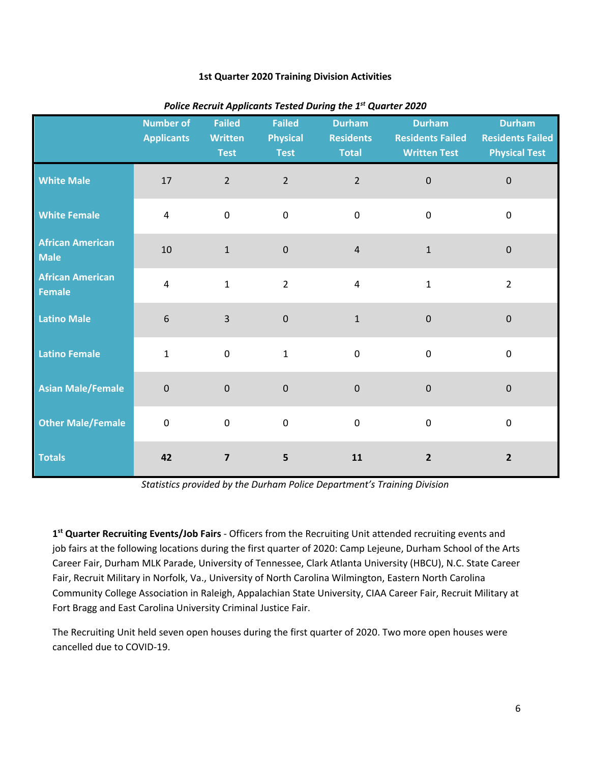#### **1st Quarter 2020 Training Division Activities**

|                                          | <b>Number of</b><br><b>Applicants</b> | <b>Failed</b><br><b>Written</b><br><b>Test</b> | <b>Failed</b><br><b>Physical</b><br><b>Test</b> | <b>Durham</b><br><b>Residents</b><br><b>Total</b> | <b>Durham</b><br><b>Residents Failed</b><br><b>Written Test</b> | <b>Durham</b><br><b>Residents Failed</b><br><b>Physical Test</b> |
|------------------------------------------|---------------------------------------|------------------------------------------------|-------------------------------------------------|---------------------------------------------------|-----------------------------------------------------------------|------------------------------------------------------------------|
| <b>White Male</b>                        | 17                                    | $\overline{2}$                                 | $\overline{2}$                                  | $\overline{2}$                                    | $\pmb{0}$                                                       | $\pmb{0}$                                                        |
| <b>White Female</b>                      | $\overline{4}$                        | $\pmb{0}$                                      | $\mathbf 0$                                     | $\mathbf 0$                                       | $\mathsf 0$                                                     | $\pmb{0}$                                                        |
| <b>African American</b><br><b>Male</b>   | $10\,$                                | $\mathbf 1$                                    | $\pmb{0}$                                       | $\sqrt{4}$                                        | $\mathbf 1$                                                     | $\pmb{0}$                                                        |
| <b>African American</b><br><b>Female</b> | $\overline{4}$                        | $\mathbf{1}$                                   | $\overline{2}$                                  | $\overline{4}$                                    | $\mathbf 1$                                                     | $\overline{2}$                                                   |
| <b>Latino Male</b>                       | $6\phantom{1}6$                       | $\overline{3}$                                 | $\pmb{0}$                                       | $\mathbf{1}$                                      | $\pmb{0}$                                                       | $\pmb{0}$                                                        |
| <b>Latino Female</b>                     | $\mathbf{1}$                          | $\pmb{0}$                                      | $\mathbf{1}$                                    | $\mathbf 0$                                       | $\pmb{0}$                                                       | $\pmb{0}$                                                        |
| <b>Asian Male/Female</b>                 | $\overline{0}$                        | $\mathbf 0$                                    | $\mathbf 0$                                     | $\mathbf 0$                                       | $\mathbf 0$                                                     | $\pmb{0}$                                                        |
| <b>Other Male/Female</b>                 | $\mathbf 0$                           | $\pmb{0}$                                      | $\mathbf 0$                                     | $\mathbf 0$                                       | $\mathsf 0$                                                     | $\mathbf 0$                                                      |
| <b>Totals</b>                            | 42                                    | $\overline{\mathbf{z}}$                        | 5                                               | 11                                                | $\mathbf{2}$                                                    | $\overline{\mathbf{2}}$                                          |

#### *Police Recruit Applicants Tested During the 1st Quarter 2020*

*Statistics provided by the Durham Police Department's Training Division*

**1st Quarter Recruiting Events/Job Fairs** - Officers from the Recruiting Unit attended recruiting events and job fairs at the following locations during the first quarter of 2020: Camp Lejeune, Durham School of the Arts Career Fair, Durham MLK Parade, University of Tennessee, Clark Atlanta University (HBCU), N.C. State Career Fair, Recruit Military in Norfolk, Va., University of North Carolina Wilmington, Eastern North Carolina Community College Association in Raleigh, Appalachian State University, CIAA Career Fair, Recruit Military at Fort Bragg and East Carolina University Criminal Justice Fair.

The Recruiting Unit held seven open houses during the first quarter of 2020. Two more open houses were cancelled due to COVID-19.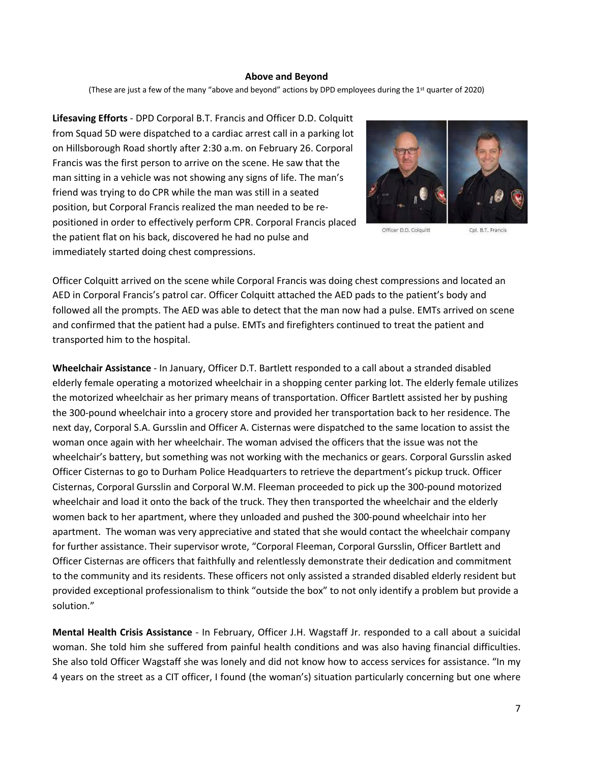#### **Above and Beyond**

(These are just a few of the many "above and beyond" actions by DPD employees during the 1st quarter of 2020)

**Lifesaving Efforts** - DPD Corporal B.T. Francis and Officer D.D. Colquitt from Squad 5D were dispatched to a cardiac arrest call in a parking lot on Hillsborough Road shortly after 2:30 a.m. on February 26. Corporal Francis was the first person to arrive on the scene. He saw that the man sitting in a vehicle was not showing any signs of life. The man's friend was trying to do CPR while the man was still in a seated position, but Corporal Francis realized the man needed to be repositioned in order to effectively perform CPR. Corporal Francis placed the patient flat on his back, discovered he had no pulse and immediately started doing chest compressions.



Officer D.D. Colquitt

Cpl. B.T. Francis

Officer Colquitt arrived on the scene while Corporal Francis was doing chest compressions and located an AED in Corporal Francis's patrol car. Officer Colquitt attached the AED pads to the patient's body and followed all the prompts. The AED was able to detect that the man now had a pulse. EMTs arrived on scene and confirmed that the patient had a pulse. EMTs and firefighters continued to treat the patient and transported him to the hospital.

**Wheelchair Assistance** - In January, Officer D.T. Bartlett responded to a call about a stranded disabled elderly female operating a motorized wheelchair in a shopping center parking lot. The elderly female utilizes the motorized wheelchair as her primary means of transportation. Officer Bartlett assisted her by pushing the 300-pound wheelchair into a grocery store and provided her transportation back to her residence. The next day, Corporal S.A. Gursslin and Officer A. Cisternas were dispatched to the same location to assist the woman once again with her wheelchair. The woman advised the officers that the issue was not the wheelchair's battery, but something was not working with the mechanics or gears. Corporal Gursslin asked Officer Cisternas to go to Durham Police Headquarters to retrieve the department's pickup truck. Officer Cisternas, Corporal Gursslin and Corporal W.M. Fleeman proceeded to pick up the 300-pound motorized wheelchair and load it onto the back of the truck. They then transported the wheelchair and the elderly women back to her apartment, where they unloaded and pushed the 300-pound wheelchair into her apartment. The woman was very appreciative and stated that she would contact the wheelchair company for further assistance. Their supervisor wrote, "Corporal Fleeman, Corporal Gursslin, Officer Bartlett and Officer Cisternas are officers that faithfully and relentlessly demonstrate their dedication and commitment to the community and its residents. These officers not only assisted a stranded disabled elderly resident but provided exceptional professionalism to think "outside the box" to not only identify a problem but provide a solution."

**Mental Health Crisis Assistance** - In February, Officer J.H. Wagstaff Jr. responded to a call about a suicidal woman. She told him she suffered from painful health conditions and was also having financial difficulties. She also told Officer Wagstaff she was lonely and did not know how to access services for assistance. "In my 4 years on the street as a CIT officer, I found (the woman's) situation particularly concerning but one where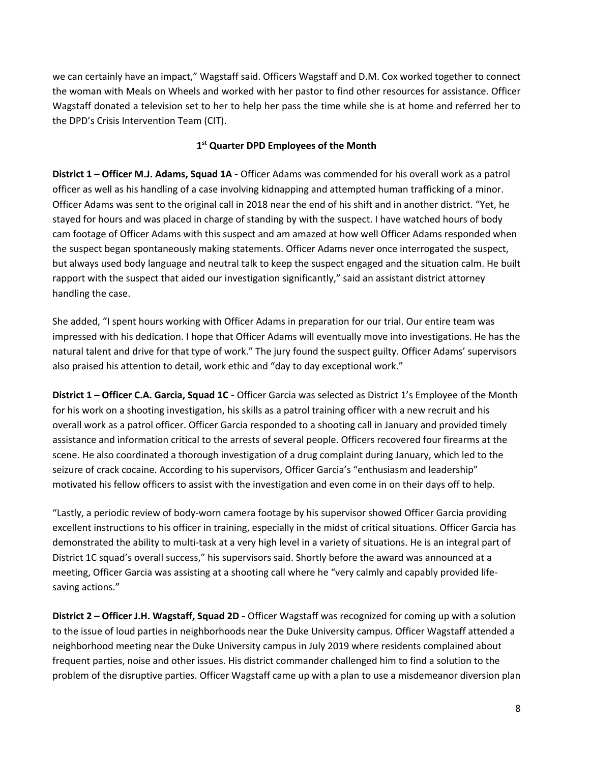we can certainly have an impact," Wagstaff said. Officers Wagstaff and D.M. Cox worked together to connect the woman with Meals on Wheels and worked with her pastor to find other resources for assistance. Officer Wagstaff donated a television set to her to help her pass the time while she is at home and referred her to the DPD's Crisis Intervention Team (CIT).

# **1st Quarter DPD Employees of the Month**

**District 1 – Officer M.J. Adams, Squad 1A** - Officer Adams was commended for his overall work as a patrol officer as well as his handling of a case involving kidnapping and attempted human trafficking of a minor. Officer Adams was sent to the original call in 2018 near the end of his shift and in another district. "Yet, he stayed for hours and was placed in charge of standing by with the suspect. I have watched hours of body cam footage of Officer Adams with this suspect and am amazed at how well Officer Adams responded when the suspect began spontaneously making statements. Officer Adams never once interrogated the suspect, but always used body language and neutral talk to keep the suspect engaged and the situation calm. He built rapport with the suspect that aided our investigation significantly," said an assistant district attorney handling the case.

She added, "I spent hours working with Officer Adams in preparation for our trial. Our entire team was impressed with his dedication. I hope that Officer Adams will eventually move into investigations. He has the natural talent and drive for that type of work." The jury found the suspect guilty. Officer Adams' supervisors also praised his attention to detail, work ethic and "day to day exceptional work."

**District 1 – Officer C.A. Garcia, Squad 1C** - Officer Garcia was selected as District 1's Employee of the Month for his work on a shooting investigation, his skills as a patrol training officer with a new recruit and his overall work as a patrol officer. Officer Garcia responded to a shooting call in January and provided timely assistance and information critical to the arrests of several people. Officers recovered four firearms at the scene. He also coordinated a thorough investigation of a drug complaint during January, which led to the seizure of crack cocaine. According to his supervisors, Officer Garcia's "enthusiasm and leadership" motivated his fellow officers to assist with the investigation and even come in on their days off to help.

"Lastly, a periodic review of body-worn camera footage by his supervisor showed Officer Garcia providing excellent instructions to his officer in training, especially in the midst of critical situations. Officer Garcia has demonstrated the ability to multi-task at a very high level in a variety of situations. He is an integral part of District 1C squad's overall success," his supervisors said. Shortly before the award was announced at a meeting, Officer Garcia was assisting at a shooting call where he "very calmly and capably provided lifesaving actions."

**District 2 – Officer J.H. Wagstaff, Squad 2D** - Officer Wagstaff was recognized for coming up with a solution to the issue of loud parties in neighborhoods near the Duke University campus. Officer Wagstaff attended a neighborhood meeting near the Duke University campus in July 2019 where residents complained about frequent parties, noise and other issues. His district commander challenged him to find a solution to the problem of the disruptive parties. Officer Wagstaff came up with a plan to use a misdemeanor diversion plan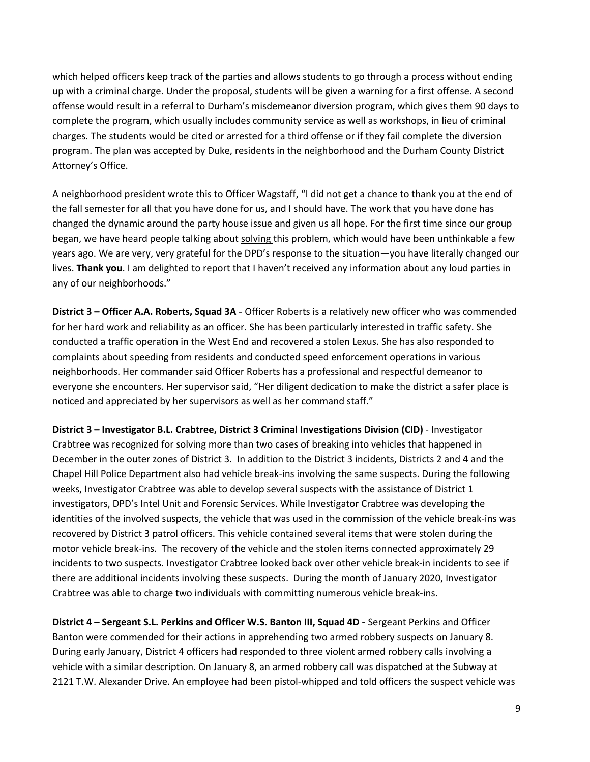which helped officers keep track of the parties and allows students to go through a process without ending up with a criminal charge. Under the proposal, students will be given a warning for a first offense. A second offense would result in a referral to Durham's misdemeanor diversion program, which gives them 90 days to complete the program, which usually includes community service as well as workshops, in lieu of criminal charges. The students would be cited or arrested for a third offense or if they fail complete the diversion program. The plan was accepted by Duke, residents in the neighborhood and the Durham County District Attorney's Office.

A neighborhood president wrote this to Officer Wagstaff, "I did not get a chance to thank you at the end of the fall semester for all that you have done for us, and I should have. The work that you have done has changed the dynamic around the party house issue and given us all hope. For the first time since our group began, we have heard people talking about solving this problem, which would have been unthinkable a few years ago. We are very, very grateful for the DPD's response to the situation—you have literally changed our lives. **Thank you**. I am delighted to report that I haven't received any information about any loud parties in any of our neighborhoods."

**District 3 – Officer A.A. Roberts, Squad 3A** - Officer Roberts is a relatively new officer who was commended for her hard work and reliability as an officer. She has been particularly interested in traffic safety. She conducted a traffic operation in the West End and recovered a stolen Lexus. She has also responded to complaints about speeding from residents and conducted speed enforcement operations in various neighborhoods. Her commander said Officer Roberts has a professional and respectful demeanor to everyone she encounters. Her supervisor said, "Her diligent dedication to make the district a safer place is noticed and appreciated by her supervisors as well as her command staff."

**District 3 – Investigator B.L. Crabtree, District 3 Criminal Investigations Division (CID)** - Investigator Crabtree was recognized for solving more than two cases of breaking into vehicles that happened in December in the outer zones of District 3. In addition to the District 3 incidents, Districts 2 and 4 and the Chapel Hill Police Department also had vehicle break-ins involving the same suspects. During the following weeks, Investigator Crabtree was able to develop several suspects with the assistance of District 1 investigators, DPD's Intel Unit and Forensic Services. While Investigator Crabtree was developing the identities of the involved suspects, the vehicle that was used in the commission of the vehicle break-ins was recovered by District 3 patrol officers. This vehicle contained several items that were stolen during the motor vehicle break-ins. The recovery of the vehicle and the stolen items connected approximately 29 incidents to two suspects. Investigator Crabtree looked back over other vehicle break-in incidents to see if there are additional incidents involving these suspects. During the month of January 2020, Investigator Crabtree was able to charge two individuals with committing numerous vehicle break-ins.

**District 4 – Sergeant S.L. Perkins and Officer W.S. Banton III, Squad 4D** - Sergeant Perkins and Officer Banton were commended for their actions in apprehending two armed robbery suspects on January 8. During early January, District 4 officers had responded to three violent armed robbery calls involving a vehicle with a similar description. On January 8, an armed robbery call was dispatched at the Subway at 2121 T.W. Alexander Drive. An employee had been pistol-whipped and told officers the suspect vehicle was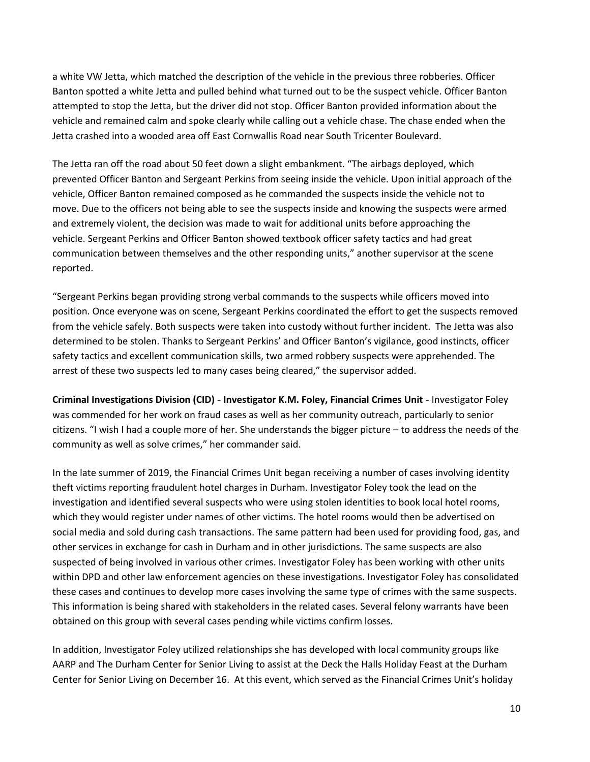a white VW Jetta, which matched the description of the vehicle in the previous three robberies. Officer Banton spotted a white Jetta and pulled behind what turned out to be the suspect vehicle. Officer Banton attempted to stop the Jetta, but the driver did not stop. Officer Banton provided information about the vehicle and remained calm and spoke clearly while calling out a vehicle chase. The chase ended when the Jetta crashed into a wooded area off East Cornwallis Road near South Tricenter Boulevard.

The Jetta ran off the road about 50 feet down a slight embankment. "The airbags deployed, which prevented Officer Banton and Sergeant Perkins from seeing inside the vehicle. Upon initial approach of the vehicle, Officer Banton remained composed as he commanded the suspects inside the vehicle not to move. Due to the officers not being able to see the suspects inside and knowing the suspects were armed and extremely violent, the decision was made to wait for additional units before approaching the vehicle. Sergeant Perkins and Officer Banton showed textbook officer safety tactics and had great communication between themselves and the other responding units," another supervisor at the scene reported.

"Sergeant Perkins began providing strong verbal commands to the suspects while officers moved into position. Once everyone was on scene, Sergeant Perkins coordinated the effort to get the suspects removed from the vehicle safely. Both suspects were taken into custody without further incident. The Jetta was also determined to be stolen. Thanks to Sergeant Perkins' and Officer Banton's vigilance, good instincts, officer safety tactics and excellent communication skills, two armed robbery suspects were apprehended. The arrest of these two suspects led to many cases being cleared," the supervisor added.

**Criminal Investigations Division (CID)** - **Investigator K.M. Foley, Financial Crimes Unit** - Investigator Foley was commended for her work on fraud cases as well as her community outreach, particularly to senior citizens. "I wish I had a couple more of her. She understands the bigger picture – to address the needs of the community as well as solve crimes," her commander said.

In the late summer of 2019, the Financial Crimes Unit began receiving a number of cases involving identity theft victims reporting fraudulent hotel charges in Durham. Investigator Foley took the lead on the investigation and identified several suspects who were using stolen identities to book local hotel rooms, which they would register under names of other victims. The hotel rooms would then be advertised on social media and sold during cash transactions. The same pattern had been used for providing food, gas, and other services in exchange for cash in Durham and in other jurisdictions. The same suspects are also suspected of being involved in various other crimes. Investigator Foley has been working with other units within DPD and other law enforcement agencies on these investigations. Investigator Foley has consolidated these cases and continues to develop more cases involving the same type of crimes with the same suspects. This information is being shared with stakeholders in the related cases. Several felony warrants have been obtained on this group with several cases pending while victims confirm losses.

In addition, Investigator Foley utilized relationships she has developed with local community groups like AARP and The Durham Center for Senior Living to assist at the Deck the Halls Holiday Feast at the Durham Center for Senior Living on December 16. At this event, which served as the Financial Crimes Unit's holiday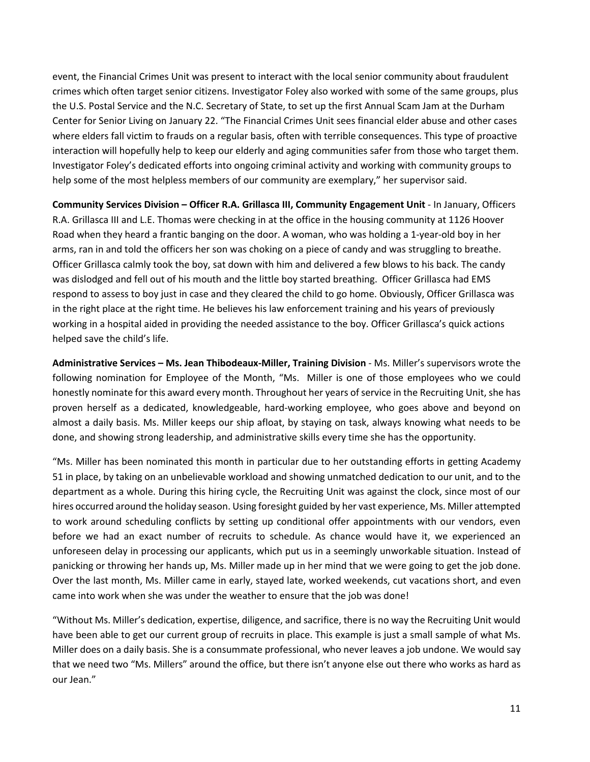event, the Financial Crimes Unit was present to interact with the local senior community about fraudulent crimes which often target senior citizens. Investigator Foley also worked with some of the same groups, plus the U.S. Postal Service and the N.C. Secretary of State, to set up the first Annual Scam Jam at the Durham Center for Senior Living on January 22. "The Financial Crimes Unit sees financial elder abuse and other cases where elders fall victim to frauds on a regular basis, often with terrible consequences. This type of proactive interaction will hopefully help to keep our elderly and aging communities safer from those who target them. Investigator Foley's dedicated efforts into ongoing criminal activity and working with community groups to help some of the most helpless members of our community are exemplary," her supervisor said.

**Community Services Division – Officer R.A. Grillasca III, Community Engagement Unit** - In January, Officers R.A. Grillasca III and L.E. Thomas were checking in at the office in the housing community at 1126 Hoover Road when they heard a frantic banging on the door. A woman, who was holding a 1-year-old boy in her arms, ran in and told the officers her son was choking on a piece of candy and was struggling to breathe. Officer Grillasca calmly took the boy, sat down with him and delivered a few blows to his back. The candy was dislodged and fell out of his mouth and the little boy started breathing. Officer Grillasca had EMS respond to assess to boy just in case and they cleared the child to go home. Obviously, Officer Grillasca was in the right place at the right time. He believes his law enforcement training and his years of previously working in a hospital aided in providing the needed assistance to the boy. Officer Grillasca's quick actions helped save the child's life.

**Administrative Services – Ms. Jean Thibodeaux-Miller, Training Division** - Ms. Miller's supervisors wrote the following nomination for Employee of the Month, "Ms. Miller is one of those employees who we could honestly nominate for this award every month. Throughout her years of service in the Recruiting Unit, she has proven herself as a dedicated, knowledgeable, hard-working employee, who goes above and beyond on almost a daily basis. Ms. Miller keeps our ship afloat, by staying on task, always knowing what needs to be done, and showing strong leadership, and administrative skills every time she has the opportunity.

"Ms. Miller has been nominated this month in particular due to her outstanding efforts in getting Academy 51 in place, by taking on an unbelievable workload and showing unmatched dedication to our unit, and to the department as a whole. During this hiring cycle, the Recruiting Unit was against the clock, since most of our hires occurred around the holiday season. Using foresight guided by her vast experience, Ms. Miller attempted to work around scheduling conflicts by setting up conditional offer appointments with our vendors, even before we had an exact number of recruits to schedule. As chance would have it, we experienced an unforeseen delay in processing our applicants, which put us in a seemingly unworkable situation. Instead of panicking or throwing her hands up, Ms. Miller made up in her mind that we were going to get the job done. Over the last month, Ms. Miller came in early, stayed late, worked weekends, cut vacations short, and even came into work when she was under the weather to ensure that the job was done!

"Without Ms. Miller's dedication, expertise, diligence, and sacrifice, there is no way the Recruiting Unit would have been able to get our current group of recruits in place. This example is just a small sample of what Ms. Miller does on a daily basis. She is a consummate professional, who never leaves a job undone. We would say that we need two "Ms. Millers" around the office, but there isn't anyone else out there who works as hard as our Jean."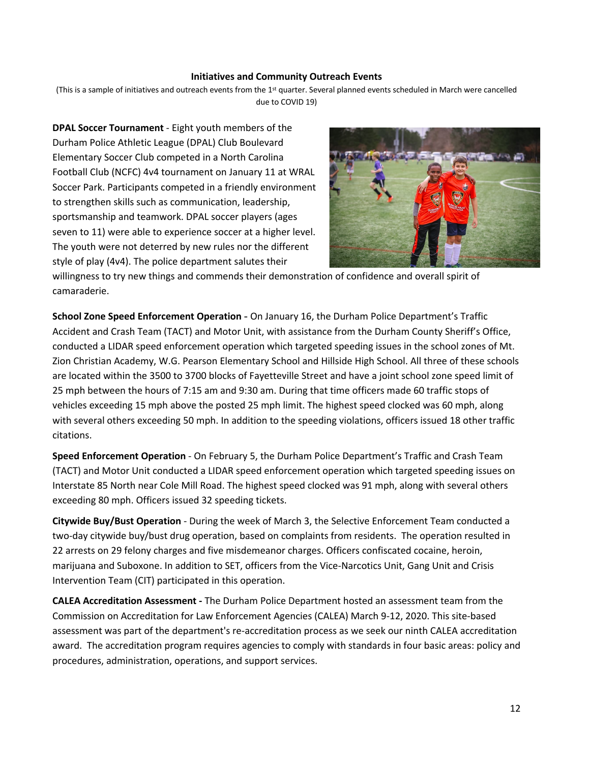#### **Initiatives and Community Outreach Events**

(This is a sample of initiatives and outreach events from the 1<sup>st</sup> quarter. Several planned events scheduled in March were cancelled due to COVID 19)

**DPAL Soccer Tournament** - Eight youth members of the Durham Police Athletic League (DPAL) Club Boulevard Elementary Soccer Club competed in a North Carolina Football Club (NCFC) 4v4 tournament on January 11 at WRAL Soccer Park. Participants competed in a friendly environment to strengthen skills such as communication, leadership, sportsmanship and teamwork. DPAL soccer players (ages seven to 11) were able to experience soccer at a higher level. The youth were not deterred by new rules nor the different style of play (4v4). The police department salutes their



willingness to try new things and commends their demonstration of confidence and overall spirit of camaraderie.

**School Zone Speed Enforcement Operation** - On January 16, the Durham Police Department's Traffic Accident and Crash Team (TACT) and Motor Unit, with assistance from the Durham County Sheriff's Office, conducted a LIDAR speed enforcement operation which targeted speeding issues in the school zones of Mt. Zion Christian Academy, W.G. Pearson Elementary School and Hillside High School. All three of these schools are located within the 3500 to 3700 blocks of Fayetteville Street and have a joint school zone speed limit of 25 mph between the hours of 7:15 am and 9:30 am. During that time officers made 60 traffic stops of vehicles exceeding 15 mph above the posted 25 mph limit. The highest speed clocked was 60 mph, along with several others exceeding 50 mph. In addition to the speeding violations, officers issued 18 other traffic citations.

**Speed Enforcement Operation** - On February 5, the Durham Police Department's Traffic and Crash Team (TACT) and Motor Unit conducted a LIDAR speed enforcement operation which targeted speeding issues on Interstate 85 North near Cole Mill Road. The highest speed clocked was 91 mph, along with several others exceeding 80 mph. Officers issued 32 speeding tickets.

**Citywide Buy/Bust Operation** - During the week of March 3, the Selective Enforcement Team conducted a two-day citywide buy/bust drug operation, based on complaints from residents. The operation resulted in 22 arrests on 29 felony charges and five misdemeanor charges. Officers confiscated cocaine, heroin, marijuana and Suboxone. In addition to SET, officers from the Vice-Narcotics Unit, Gang Unit and Crisis Intervention Team (CIT) participated in this operation.

**CALEA Accreditation Assessment -** The Durham Police Department hosted an assessment team from the Commission on Accreditation for Law Enforcement Agencies (CALEA) March 9-12, 2020. This site-based assessment was part of the department's re-accreditation process as we seek our ninth CALEA accreditation award. The accreditation program requires agencies to comply with standards in four basic areas: policy and procedures, administration, operations, and support services.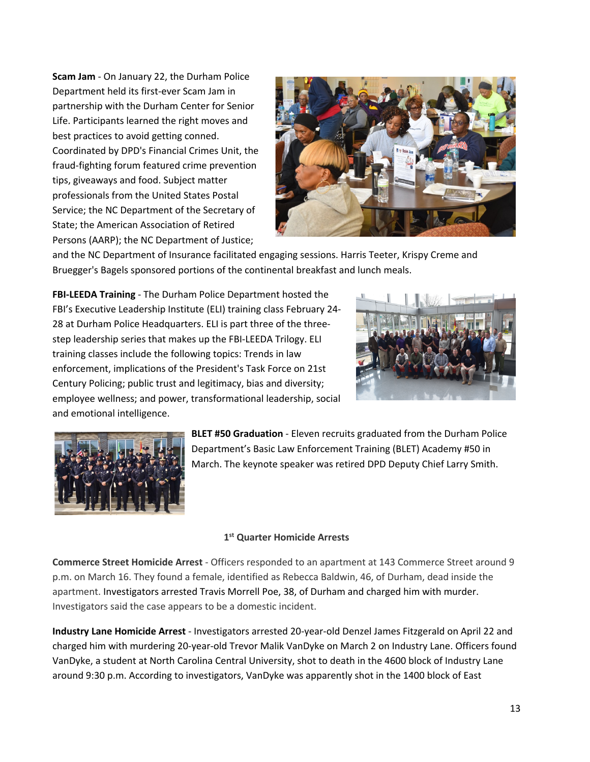**Scam Jam** - On January 22, the Durham Police Department held its first-ever Scam Jam in partnership with the Durham Center for Senior Life. Participants learned the right moves and best practices to avoid getting conned. Coordinated by DPD's Financial Crimes Unit, the fraud-fighting forum featured crime prevention tips, giveaways and food. Subject matter professionals from the United States Postal Service; the NC Department of the Secretary of State; the American Association of Retired Persons (AARP); the NC Department of Justice;



and the NC Department of Insurance facilitated engaging sessions. Harris Teeter, Krispy Creme and Bruegger's Bagels sponsored portions of the continental breakfast and lunch meals.

**FBI-LEEDA Training** - The Durham Police Department hosted the FBI's Executive Leadership Institute (ELI) training class February 24- 28 at Durham Police Headquarters. ELI is part three of the threestep leadership series that makes up the FBI-LEEDA Trilogy. ELI training classes include the following topics: Trends in law enforcement, implications of the President's Task Force on 21st Century Policing; public trust and legitimacy, bias and diversity; employee wellness; and power, transformational leadership, social and emotional intelligence.





**BLET #50 Graduation** - Eleven recruits graduated from the Durham Police Department's Basic Law Enforcement Training (BLET) Academy #50 in March. The keynote speaker was retired DPD Deputy Chief Larry Smith.

#### **1st Quarter Homicide Arrests**

**Commerce Street Homicide Arrest** - Officers responded to an apartment at 143 Commerce Street around 9 p.m. on March 16. They found a female, identified as Rebecca Baldwin, 46, of Durham, dead inside the apartment. Investigators arrested Travis Morrell Poe, 38, of Durham and charged him with murder. Investigators said the case appears to be a domestic incident.

**Industry Lane Homicide Arrest** - Investigators arrested 20-year-old Denzel James Fitzgerald on April 22 and charged him with murdering 20-year-old Trevor Malik VanDyke on March 2 on Industry Lane. Officers found VanDyke, a student at North Carolina Central University, shot to death in the 4600 block of Industry Lane around 9:30 p.m. According to investigators, VanDyke was apparently shot in the 1400 block of East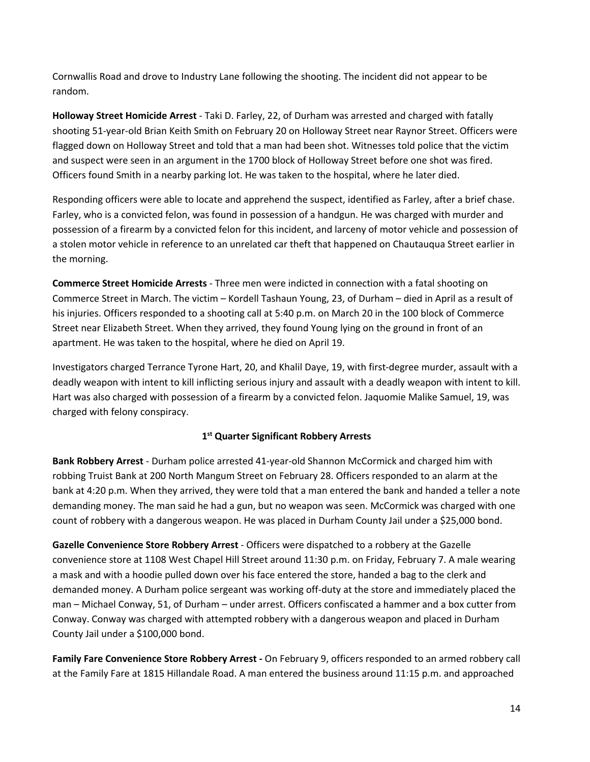Cornwallis Road and drove to Industry Lane following the shooting. The incident did not appear to be random.

**Holloway Street Homicide Arrest** - Taki D. Farley, 22, of Durham was arrested and charged with fatally shooting 51-year-old Brian Keith Smith on February 20 on Holloway Street near Raynor Street. Officers were flagged down on Holloway Street and told that a man had been shot. Witnesses told police that the victim and suspect were seen in an argument in the 1700 block of Holloway Street before one shot was fired. Officers found Smith in a nearby parking lot. He was taken to the hospital, where he later died.

Responding officers were able to locate and apprehend the suspect, identified as Farley, after a brief chase. Farley, who is a convicted felon, was found in possession of a handgun. He was charged with murder and possession of a firearm by a convicted felon for this incident, and larceny of motor vehicle and possession of a stolen motor vehicle in reference to an unrelated car theft that happened on Chautauqua Street earlier in the morning.

**Commerce Street Homicide Arrests** - Three men were indicted in connection with a fatal shooting on Commerce Street in March. The victim – Kordell Tashaun Young, 23, of Durham – died in April as a result of his injuries. Officers responded to a shooting call at 5:40 p.m. on March 20 in the 100 block of Commerce Street near Elizabeth Street. When they arrived, they found Young lying on the ground in front of an apartment. He was taken to the hospital, where he died on April 19.

Investigators charged Terrance Tyrone Hart, 20, and Khalil Daye, 19, with first-degree murder, assault with a deadly weapon with intent to kill inflicting serious injury and assault with a deadly weapon with intent to kill. Hart was also charged with possession of a firearm by a convicted felon. Jaquomie Malike Samuel, 19, was charged with felony conspiracy.

# **1st Quarter Significant Robbery Arrests**

**Bank Robbery Arrest** - Durham police arrested 41-year-old Shannon McCormick and charged him with robbing Truist Bank at 200 North Mangum Street on February 28. Officers responded to an alarm at the bank at 4:20 p.m. When they arrived, they were told that a man entered the bank and handed a teller a note demanding money. The man said he had a gun, but no weapon was seen. McCormick was charged with one count of robbery with a dangerous weapon. He was placed in Durham County Jail under a \$25,000 bond.

**Gazelle Convenience Store Robbery Arrest** - Officers were dispatched to a robbery at the Gazelle convenience store at 1108 West Chapel Hill Street around 11:30 p.m. on Friday, February 7. A male wearing a mask and with a hoodie pulled down over his face entered the store, handed a bag to the clerk and demanded money. A Durham police sergeant was working off-duty at the store and immediately placed the man – Michael Conway, 51, of Durham – under arrest. Officers confiscated a hammer and a box cutter from Conway. Conway was charged with attempted robbery with a dangerous weapon and placed in Durham County Jail under a \$100,000 bond.

**Family Fare Convenience Store Robbery Arrest -** On February 9, officers responded to an armed robbery call at the Family Fare at 1815 Hillandale Road. A man entered the business around 11:15 p.m. and approached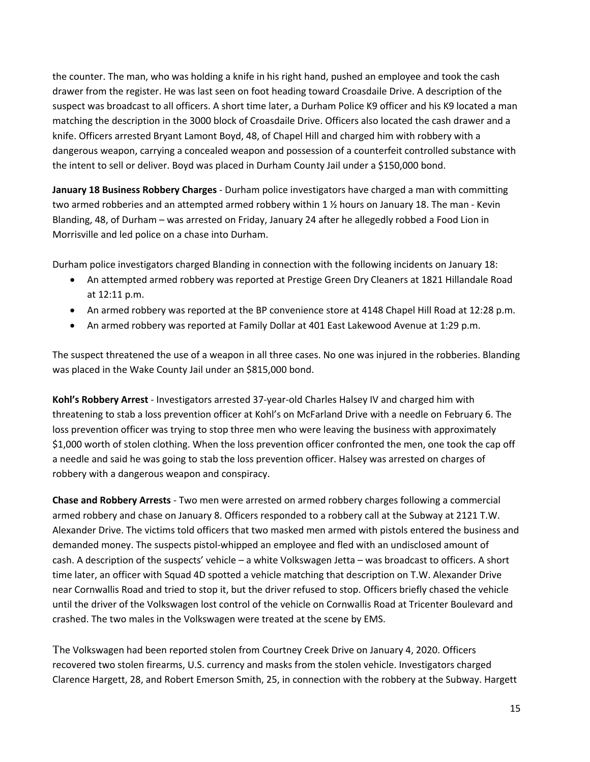the counter. The man, who was holding a knife in his right hand, pushed an employee and took the cash drawer from the register. He was last seen on foot heading toward Croasdaile Drive. A description of the suspect was broadcast to all officers. A short time later, a Durham Police K9 officer and his K9 located a man matching the description in the 3000 block of Croasdaile Drive. Officers also located the cash drawer and a knife. Officers arrested Bryant Lamont Boyd, 48, of Chapel Hill and charged him with robbery with a dangerous weapon, carrying a concealed weapon and possession of a counterfeit controlled substance with the intent to sell or deliver. Boyd was placed in Durham County Jail under a \$150,000 bond.

**January 18 Business Robbery Charges** - Durham police investigators have charged a man with committing two armed robberies and an attempted armed robbery within 1 ½ hours on January 18. The man - Kevin Blanding, 48, of Durham – was arrested on Friday, January 24 after he allegedly robbed a Food Lion in Morrisville and led police on a chase into Durham.

Durham police investigators charged Blanding in connection with the following incidents on January 18:

- An attempted armed robbery was reported at Prestige Green Dry Cleaners at 1821 Hillandale Road at 12:11 p.m.
- An armed robbery was reported at the BP convenience store at 4148 Chapel Hill Road at 12:28 p.m.
- An armed robbery was reported at Family Dollar at 401 East Lakewood Avenue at 1:29 p.m.

The suspect threatened the use of a weapon in all three cases. No one was injured in the robberies. Blanding was placed in the Wake County Jail under an \$815,000 bond.

**Kohl's Robbery Arrest** - Investigators arrested 37-year-old Charles Halsey IV and charged him with threatening to stab a loss prevention officer at Kohl's on McFarland Drive with a needle on February 6. The loss prevention officer was trying to stop three men who were leaving the business with approximately \$1,000 worth of stolen clothing. When the loss prevention officer confronted the men, one took the cap off a needle and said he was going to stab the loss prevention officer. Halsey was arrested on charges of robbery with a dangerous weapon and conspiracy.

**Chase and Robbery Arrests** - Two men were arrested on armed robbery charges following a commercial armed robbery and chase on January 8. Officers responded to a robbery call at the Subway at 2121 T.W. Alexander Drive. The victims told officers that two masked men armed with pistols entered the business and demanded money. The suspects pistol-whipped an employee and fled with an undisclosed amount of cash. A description of the suspects' vehicle – a white Volkswagen Jetta – was broadcast to officers. A short time later, an officer with Squad 4D spotted a vehicle matching that description on T.W. Alexander Drive near Cornwallis Road and tried to stop it, but the driver refused to stop. Officers briefly chased the vehicle until the driver of the Volkswagen lost control of the vehicle on Cornwallis Road at Tricenter Boulevard and crashed. The two males in the Volkswagen were treated at the scene by EMS.

The Volkswagen had been reported stolen from Courtney Creek Drive on January 4, 2020. Officers recovered two stolen firearms, U.S. currency and masks from the stolen vehicle. Investigators charged Clarence Hargett, 28, and Robert Emerson Smith, 25, in connection with the robbery at the Subway. Hargett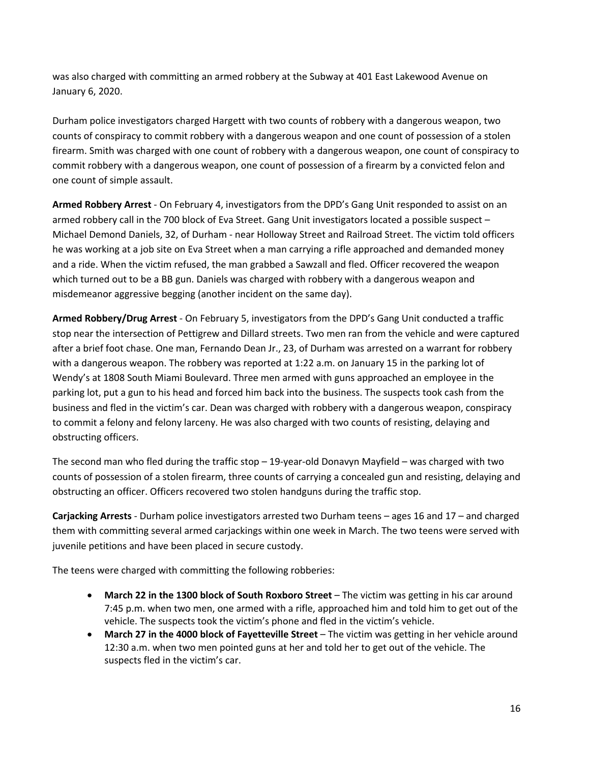was also charged with committing an armed robbery at the Subway at 401 East Lakewood Avenue on January 6, 2020.

Durham police investigators charged Hargett with two counts of robbery with a dangerous weapon, two counts of conspiracy to commit robbery with a dangerous weapon and one count of possession of a stolen firearm. Smith was charged with one count of robbery with a dangerous weapon, one count of conspiracy to commit robbery with a dangerous weapon, one count of possession of a firearm by a convicted felon and one count of simple assault.

**Armed Robbery Arrest** - On February 4, investigators from the DPD's Gang Unit responded to assist on an armed robbery call in the 700 block of Eva Street. Gang Unit investigators located a possible suspect – Michael Demond Daniels, 32, of Durham - near Holloway Street and Railroad Street. The victim told officers he was working at a job site on Eva Street when a man carrying a rifle approached and demanded money and a ride. When the victim refused, the man grabbed a Sawzall and fled. Officer recovered the weapon which turned out to be a BB gun. Daniels was charged with robbery with a dangerous weapon and misdemeanor aggressive begging (another incident on the same day).

**Armed Robbery/Drug Arrest** - On February 5, investigators from the DPD's Gang Unit conducted a traffic stop near the intersection of Pettigrew and Dillard streets. Two men ran from the vehicle and were captured after a brief foot chase. One man, Fernando Dean Jr., 23, of Durham was arrested on a warrant for robbery with a dangerous weapon. The robbery was reported at 1:22 a.m. on January 15 in the parking lot of Wendy's at 1808 South Miami Boulevard. Three men armed with guns approached an employee in the parking lot, put a gun to his head and forced him back into the business. The suspects took cash from the business and fled in the victim's car. Dean was charged with robbery with a dangerous weapon, conspiracy to commit a felony and felony larceny. He was also charged with two counts of resisting, delaying and obstructing officers.

The second man who fled during the traffic stop – 19-year-old Donavyn Mayfield – was charged with two counts of possession of a stolen firearm, three counts of carrying a concealed gun and resisting, delaying and obstructing an officer. Officers recovered two stolen handguns during the traffic stop.

**Carjacking Arrests** - Durham police investigators arrested two Durham teens – ages 16 and 17 – and charged them with committing several armed carjackings within one week in March. The two teens were served with juvenile petitions and have been placed in secure custody.

The teens were charged with committing the following robberies:

- **March 22 in the 1300 block of South Roxboro Street** The victim was getting in his car around 7:45 p.m. when two men, one armed with a rifle, approached him and told him to get out of the vehicle. The suspects took the victim's phone and fled in the victim's vehicle.
- **March 27 in the 4000 block of Fayetteville Street** The victim was getting in her vehicle around 12:30 a.m. when two men pointed guns at her and told her to get out of the vehicle. The suspects fled in the victim's car.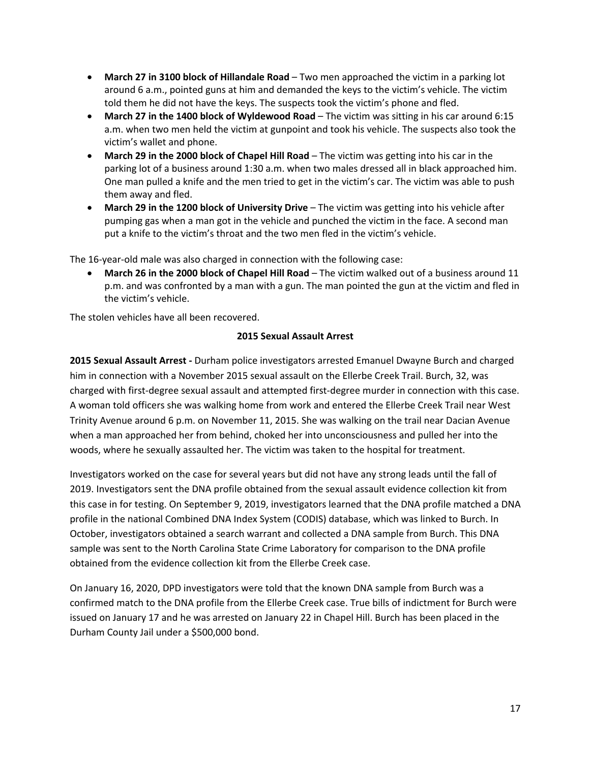- **March 27 in 3100 block of Hillandale Road** Two men approached the victim in a parking lot around 6 a.m., pointed guns at him and demanded the keys to the victim's vehicle. The victim told them he did not have the keys. The suspects took the victim's phone and fled.
- **March 27 in the 1400 block of Wyldewood Road** The victim was sitting in his car around 6:15 a.m. when two men held the victim at gunpoint and took his vehicle. The suspects also took the victim's wallet and phone.
- **March 29 in the 2000 block of Chapel Hill Road** The victim was getting into his car in the parking lot of a business around 1:30 a.m. when two males dressed all in black approached him. One man pulled a knife and the men tried to get in the victim's car. The victim was able to push them away and fled.
- **March 29 in the 1200 block of University Drive** The victim was getting into his vehicle after pumping gas when a man got in the vehicle and punched the victim in the face. A second man put a knife to the victim's throat and the two men fled in the victim's vehicle.

The 16-year-old male was also charged in connection with the following case:

• **March 26 in the 2000 block of Chapel Hill Road** – The victim walked out of a business around 11 p.m. and was confronted by a man with a gun. The man pointed the gun at the victim and fled in the victim's vehicle.

The stolen vehicles have all been recovered.

### **2015 Sexual Assault Arrest**

**2015 Sexual Assault Arrest -** Durham police investigators arrested Emanuel Dwayne Burch and charged him in connection with a November 2015 sexual assault on the Ellerbe Creek Trail. Burch, 32, was charged with first-degree sexual assault and attempted first-degree murder in connection with this case. A woman told officers she was walking home from work and entered the Ellerbe Creek Trail near West Trinity Avenue around 6 p.m. on November 11, 2015. She was walking on the trail near Dacian Avenue when a man approached her from behind, choked her into unconsciousness and pulled her into the woods, where he sexually assaulted her. The victim was taken to the hospital for treatment.

Investigators worked on the case for several years but did not have any strong leads until the fall of 2019. Investigators sent the DNA profile obtained from the sexual assault evidence collection kit from this case in for testing. On September 9, 2019, investigators learned that the DNA profile matched a DNA profile in the national Combined DNA Index System (CODIS) database, which was linked to Burch. In October, investigators obtained a search warrant and collected a DNA sample from Burch. This DNA sample was sent to the North Carolina State Crime Laboratory for comparison to the DNA profile obtained from the evidence collection kit from the Ellerbe Creek case.

On January 16, 2020, DPD investigators were told that the known DNA sample from Burch was a confirmed match to the DNA profile from the Ellerbe Creek case. True bills of indictment for Burch were issued on January 17 and he was arrested on January 22 in Chapel Hill. Burch has been placed in the Durham County Jail under a \$500,000 bond.